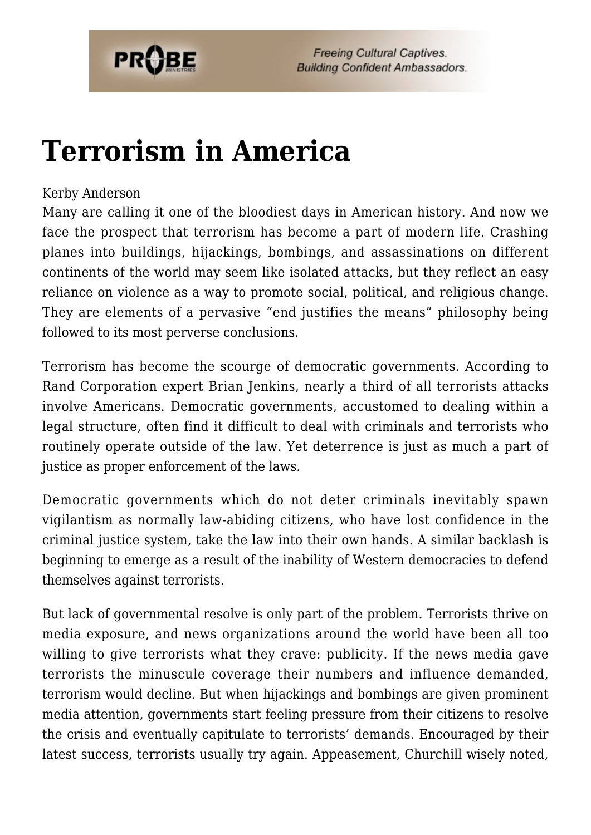

**Freeing Cultural Captives. Building Confident Ambassadors.** 

## **[Terrorism in America](https://probe.org/terrorism-in-america/)**

## Kerby Anderson

Many are calling it one of the bloodiest days in American history. And now we face the prospect that terrorism has become a part of modern life. Crashing planes into buildings, hijackings, bombings, and assassinations on different continents of the world may seem like isolated attacks, but they reflect an easy reliance on violence as a way to promote social, political, and religious change. They are elements of a pervasive "end justifies the means" philosophy being followed to its most perverse conclusions.

Terrorism has become the scourge of democratic governments. According to Rand Corporation expert Brian Jenkins, nearly a third of all terrorists attacks involve Americans. Democratic governments, accustomed to dealing within a legal structure, often find it difficult to deal with criminals and terrorists who routinely operate outside of the law. Yet deterrence is just as much a part of justice as proper enforcement of the laws.

Democratic governments which do not deter criminals inevitably spawn vigilantism as normally law-abiding citizens, who have lost confidence in the criminal justice system, take the law into their own hands. A similar backlash is beginning to emerge as a result of the inability of Western democracies to defend themselves against terrorists.

But lack of governmental resolve is only part of the problem. Terrorists thrive on media exposure, and news organizations around the world have been all too willing to give terrorists what they crave: publicity. If the news media gave terrorists the minuscule coverage their numbers and influence demanded, terrorism would decline. But when hijackings and bombings are given prominent media attention, governments start feeling pressure from their citizens to resolve the crisis and eventually capitulate to terrorists' demands. Encouraged by their latest success, terrorists usually try again. Appeasement, Churchill wisely noted,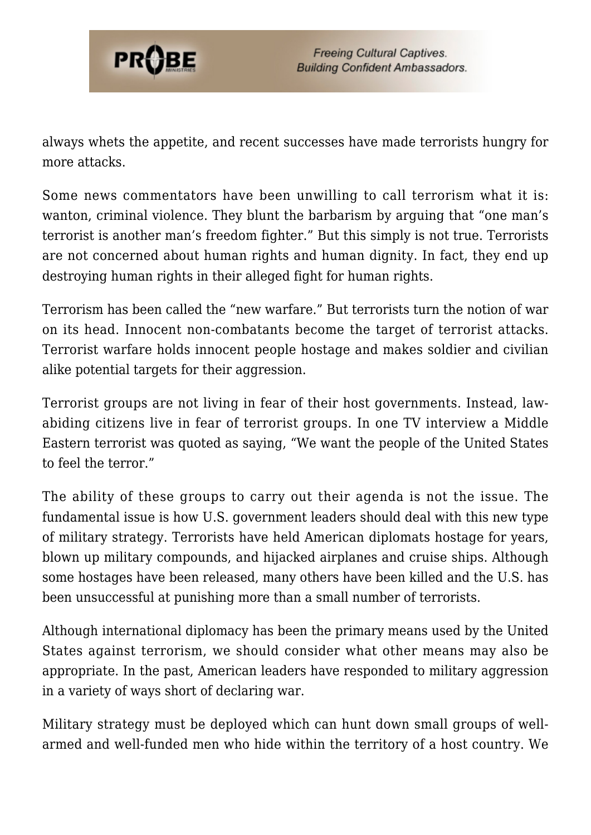

always whets the appetite, and recent successes have made terrorists hungry for more attacks.

Some news commentators have been unwilling to call terrorism what it is: wanton, criminal violence. They blunt the barbarism by arguing that "one man's terrorist is another man's freedom fighter." But this simply is not true. Terrorists are not concerned about human rights and human dignity. In fact, they end up destroying human rights in their alleged fight for human rights.

Terrorism has been called the "new warfare." But terrorists turn the notion of war on its head. Innocent non-combatants become the target of terrorist attacks. Terrorist warfare holds innocent people hostage and makes soldier and civilian alike potential targets for their aggression.

Terrorist groups are not living in fear of their host governments. Instead, lawabiding citizens live in fear of terrorist groups. In one TV interview a Middle Eastern terrorist was quoted as saying, "We want the people of the United States to feel the terror."

The ability of these groups to carry out their agenda is not the issue. The fundamental issue is how U.S. government leaders should deal with this new type of military strategy. Terrorists have held American diplomats hostage for years, blown up military compounds, and hijacked airplanes and cruise ships. Although some hostages have been released, many others have been killed and the U.S. has been unsuccessful at punishing more than a small number of terrorists.

Although international diplomacy has been the primary means used by the United States against terrorism, we should consider what other means may also be appropriate. In the past, American leaders have responded to military aggression in a variety of ways short of declaring war.

Military strategy must be deployed which can hunt down small groups of wellarmed and well-funded men who hide within the territory of a host country. We